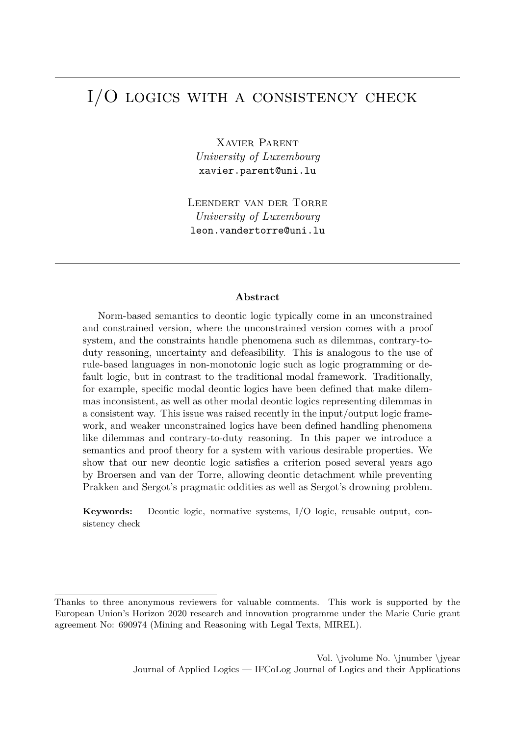# <span id="page-0-0"></span>I/O logics with a consistency check

Xavier Parent *University of Luxembourg* xavier.parent@uni.lu

Leendert van der Torre *University of Luxembourg* leon.vandertorre@uni.lu

#### **Abstract**

Norm-based semantics to deontic logic typically come in an unconstrained and constrained version, where the unconstrained version comes with a proof system, and the constraints handle phenomena such as dilemmas, contrary-toduty reasoning, uncertainty and defeasibility. This is analogous to the use of rule-based languages in non-monotonic logic such as logic programming or default logic, but in contrast to the traditional modal framework. Traditionally, for example, specific modal deontic logics have been defined that make dilemmas inconsistent, as well as other modal deontic logics representing dilemmas in a consistent way. This issue was raised recently in the input/output logic framework, and weaker unconstrained logics have been defined handling phenomena like dilemmas and contrary-to-duty reasoning. In this paper we introduce a semantics and proof theory for a system with various desirable properties. We show that our new deontic logic satisfies a criterion posed several years ago by Broersen and van der Torre, allowing deontic detachment while preventing Prakken and Sergot's pragmatic oddities as well as Sergot's drowning problem.

**Keywords:** Deontic logic, normative systems, I/O logic, reusable output, consistency check

Thanks to three anonymous reviewers for valuable comments. This work is supported by the European Union's Horizon 2020 research and innovation programme under the Marie Curie grant agreement No: 690974 (Mining and Reasoning with Legal Texts, MIREL).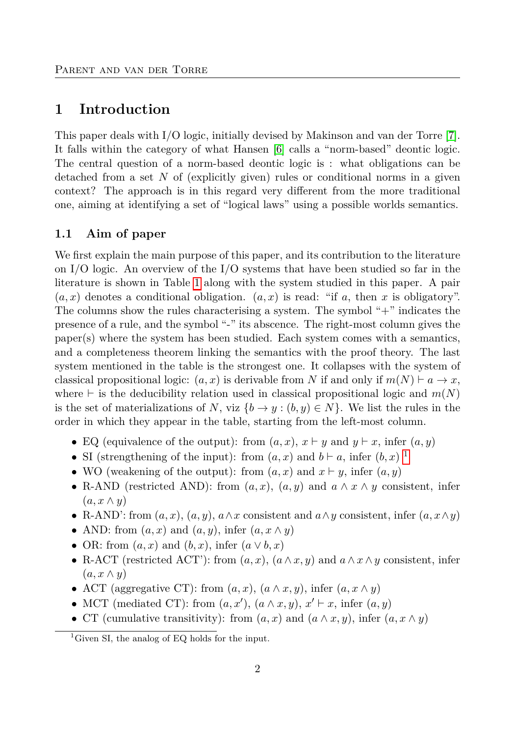## **1 Introduction**

This paper deals with I/O logic, initially devised by Makinson and van der Torre [\[7\]](#page-13-0). It falls within the category of what Hansen [\[6\]](#page-13-1) calls a "norm-based" deontic logic. The central question of a norm-based deontic logic is : what obligations can be detached from a set *N* of (explicitly given) rules or conditional norms in a given context? The approach is in this regard very different from the more traditional one, aiming at identifying a set of "logical laws" using a possible worlds semantics.

### **1.1 Aim of paper**

We first explain the main purpose of this paper, and its contribution to the literature on I/O logic. An overview of the I/O systems that have been studied so far in the literature is shown in Table [1](#page-2-0) along with the system studied in this paper. A pair  $(a, x)$  denotes a conditional obligation.  $(a, x)$  is read: "if a, then x is obligatory". The columns show the rules characterising a system. The symbol "+" indicates the presence of a rule, and the symbol "-" its abscence. The right-most column gives the paper(s) where the system has been studied. Each system comes with a semantics, and a completeness theorem linking the semantics with the proof theory. The last system mentioned in the table is the strongest one. It collapses with the system of classical propositional logic:  $(a, x)$  is derivable from *N* if and only if  $m(N) \vdash a \rightarrow x$ , where  $\vdash$  is the deducibility relation used in classical propositional logic and  $m(N)$ is the set of materializations of *N*, viz  $\{b \to y : (b, y) \in N\}$ . We list the rules in the order in which they appear in the table, starting from the left-most column.

- EQ (equivalence of the output): from  $(a, x)$ ,  $x \vdash y$  and  $y \vdash x$ , infer  $(a, y)$
- SI (strengthening of the input): from  $(a, x)$  and  $b \vdash a$ , infer  $(b, x)$ <sup>[1](#page-0-0)</sup>
- WO (weakening of the output): from  $(a, x)$  and  $x \vdash y$ , infer  $(a, y)$
- R-AND (restricted AND): from  $(a, x)$ ,  $(a, y)$  and  $a \wedge x \wedge y$  consistent, infer  $(a, x \wedge y)$
- R-AND': from  $(a, x)$ ,  $(a, y)$ ,  $a \wedge x$  consistent and  $a \wedge y$  consistent, infer  $(a, x \wedge y)$
- AND: from  $(a, x)$  and  $(a, y)$ , infer  $(a, x \wedge y)$
- OR: from  $(a, x)$  and  $(b, x)$ , infer  $(a \vee b, x)$
- R-ACT (restricted ACT'): from  $(a, x)$ ,  $(a \wedge x, y)$  and  $a \wedge x \wedge y$  consistent, infer  $(a, x \wedge y)$
- ACT (aggregative CT): from  $(a, x)$ ,  $(a \wedge x, y)$ , infer  $(a, x \wedge y)$
- MCT (mediated CT): from  $(a, x')$ ,  $(a \wedge x, y)$ ,  $x' \vdash x$ , infer  $(a, y)$
- CT (cumulative transitivity): from  $(a, x)$  and  $(a \wedge x, y)$ , infer  $(a, x \wedge y)$

<sup>&</sup>lt;sup>1</sup>Given SI, the analog of EQ holds for the input.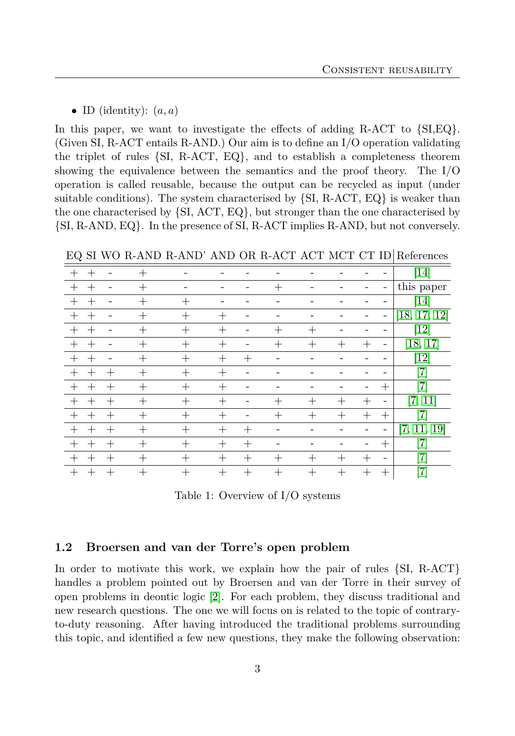• ID (identity):  $(a, a)$ 

In this paper, we want to investigate the effects of adding R-ACT to {SI,EQ}. (Given SI, R-ACT entails R-AND.) Our aim is to define an I/O operation validating the triplet of rules {SI, R-ACT, EQ}, and to establish a completeness theorem showing the equivalence between the semantics and the proof theory. The I/O operation is called reusable, because the output can be recycled as input (under suitable conditions). The system characterised by  $\{SI, R-ACT, EQ\}$  is weaker than the one characterised by {SI, ACT, EQ}, but stronger than the one characterised by {SI, R-AND, EQ}. In the presence of SI, R-ACT implies R-AND, but not conversely.

<span id="page-2-0"></span>EQ SI WO R-AND R-AND' AND OR R-ACT ACT MCT CT ID References

| $\,+\,$ | $\,+\,$ |        | $^{+}$ |        |                    |        |        |                    |                    |                    |                          | [14]                         |
|---------|---------|--------|--------|--------|--------------------|--------|--------|--------------------|--------------------|--------------------|--------------------------|------------------------------|
| $^{+}$  | $^{+}$  |        | $^{+}$ |        |                    |        | $\pm$  |                    |                    |                    | $\overline{\phantom{0}}$ | this paper                   |
| $^{+}$  | $^{+}$  |        | $^{+}$ | $^{+}$ |                    |        |        |                    |                    |                    |                          | [14]                         |
| $^{+}$  | $^{+}$  |        | $+$    | $^{+}$ | $^{+}$             |        |        |                    |                    |                    | $\overline{\phantom{0}}$ | [18, 17, 12]                 |
| $^{+}$  | $^{+}$  |        | $^{+}$ | $^{+}$ | $^{+}$             |        | $^{+}$ | $^{+}$             |                    |                    |                          | $\left\lceil 12\right\rceil$ |
| $\pm$   | $^{+}$  |        | $+$    | $^{+}$ | $^{+}$             |        | $^{+}$ | $^{+}$             | $^{+}$             | $\hspace{0.1mm} +$ | -                        | [18, 17]                     |
| $^{+}$  | $^{+}$  |        | $^{+}$ | $^{+}$ | $^{+}$             | $+$    |        |                    |                    |                    |                          | $\left\lceil 12\right\rceil$ |
| $+$     | $+$     | $+$    | $+$    | $^{+}$ | $^{+}$             |        |        |                    |                    |                    |                          | $\left\lceil 7 \right\rceil$ |
| $^{+}$  | $+$     | $^{+}$ | $^{+}$ | $^{+}$ | $^{+}$             |        |        |                    |                    | -                  | $^{+}$                   | $\left\lceil 7 \right\rceil$ |
| $^{+}$  | $^{+}$  | $^{+}$ | $^{+}$ | $^{+}$ | $\hspace{0.1mm} +$ |        | $^{+}$ | $^{+}$             | $+$                | $\hspace{0.1mm} +$ | -                        | [7, 11]                      |
| $+$     | $^{+}$  | $^{+}$ | $^{+}$ | $^{+}$ | $^{+}$             |        | $^{+}$ | $^{+}$             | $^{+}$             | $^{+}$             | $^{+}$                   | 7                            |
| $^{+}$  | $^{+}$  | $\pm$  | $^{+}$ | $^{+}$ | $\hspace{0.1mm} +$ | $^{+}$ |        |                    |                    |                    |                          | [7, 11, 19]                  |
| $^{+}$  | $^{+}$  | $\pm$  | $^{+}$ | $^{+}$ | $\pm$              | $^{+}$ |        |                    |                    |                    | $^{+}$                   | $\overline{7}$               |
| $\pm$   | $^{+}$  | $\, +$ | $\pm$  | $^{+}$ | $^+$               | $^{+}$ | $\pm$  | $\hspace{0.1mm} +$ | $\hspace{0.1mm} +$ | $^{+}$             | $\overline{\phantom{0}}$ | 7                            |
|         | $^{+}$  | $^{+}$ |        | $^{+}$ | $^{+}$             | $^{+}$ | $+$    | $^{+}$             | $^{+}$             | $^{+}$             |                          | $^{\prime}7]$                |

Table 1: Overview of I/O systems

### **1.2 Broersen and van der Torre's open problem**

In order to motivate this work, we explain how the pair of rules {SI, R-ACT} handles a problem pointed out by Broersen and van der Torre in their survey of open problems in deontic logic [\[2\]](#page-13-2). For each problem, they discuss traditional and new research questions. The one we will focus on is related to the topic of contraryto-duty reasoning. After having introduced the traditional problems surrounding this topic, and identified a few new questions, they make the following observation: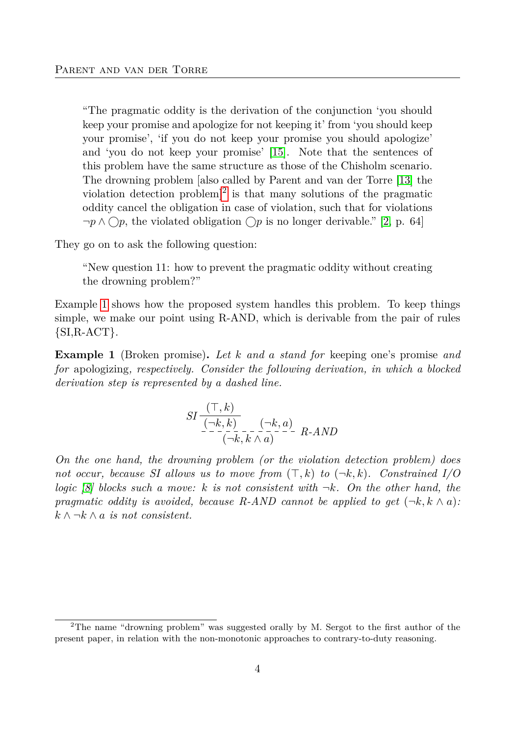"The pragmatic oddity is the derivation of the conjunction 'you should keep your promise and apologize for not keeping it' from 'you should keep your promise', 'if you do not keep your promise you should apologize' and 'you do not keep your promise' [\[15\]](#page-14-6). Note that the sentences of this problem have the same structure as those of the Chisholm scenario. The drowning problem [also called by Parent and van der Torre [\[13\]](#page-14-7) the violation detection problem<sup> $]$ [2](#page-0-0)</sup> is that many solutions of the pragmatic oddity cancel the obligation in case of violation, such that for violations ¬*p* ∧ *p*, the violated obligation *p* is no longer derivable." [\[2,](#page-13-2) p. 64]

They go on to ask the following question:

"New question 11: how to prevent the pragmatic oddity without creating the drowning problem?"

Example [1](#page-3-0) shows how the proposed system handles this problem. To keep things simple, we make our point using R-AND, which is derivable from the pair of rules  $\{SI, R-ACT\}.$ 

<span id="page-3-0"></span>**Example 1** (Broken promise)**.** *Let k and a stand for* keeping one's promise *and for* apologizing*, respectively. Consider the following derivation, in which a blocked derivation step is represented by a dashed line.*

$$
SI\frac{(\top, k)}{\underbrace{(\neg k, k)}_{(\neg k, k \land a)} - \underbrace{(\neg k, a)}_{(\neg k, k \land a)} - R\text{-}AND}
$$

*On the one hand, the drowning problem (or the violation detection problem) does not occur, because SI allows us to move from*  $(\top, k)$  *to*  $(\neg k, k)$ *. Constrained I/O logic [\[8\]](#page-13-3) blocks such a move: k is not consistent with* ¬*k. On the other hand, the pragmatic oddity is avoided, because R-AND cannot be applied to get*  $(\neg k, k \land a)$ : *k* ∧ ¬*k* ∧ *a is not consistent.*

<sup>2</sup>The name "drowning problem" was suggested orally by M. Sergot to the first author of the present paper, in relation with the non-monotonic approaches to contrary-to-duty reasoning.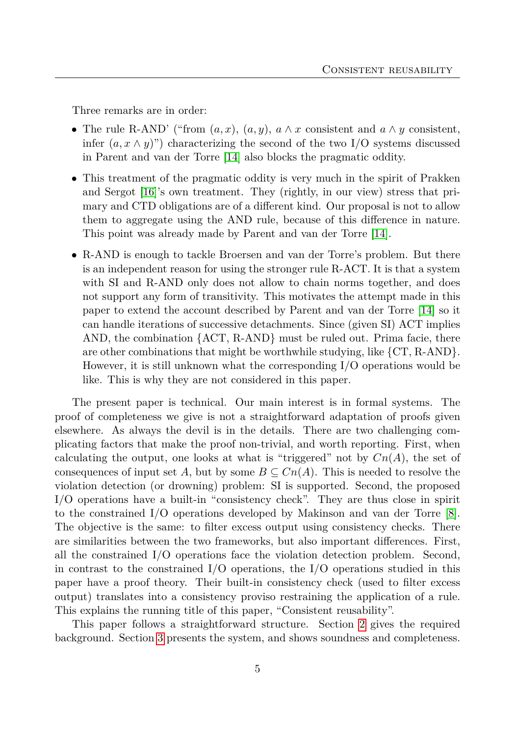Three remarks are in order:

- The rule R-AND' ("from  $(a, x)$ ,  $(a, y)$ ,  $a \wedge x$  consistent and  $a \wedge y$  consistent, infer  $(a, x \wedge y)$ ") characterizing the second of the two I/O systems discussed in Parent and van der Torre [\[14\]](#page-14-0) also blocks the pragmatic oddity.
- This treatment of the pragmatic oddity is very much in the spirit of Prakken and Sergot [\[16\]](#page-14-8)'s own treatment. They (rightly, in our view) stress that primary and CTD obligations are of a different kind. Our proposal is not to allow them to aggregate using the AND rule, because of this difference in nature. This point was already made by Parent and van der Torre [\[14\]](#page-14-0).
- R-AND is enough to tackle Broersen and van der Torre's problem. But there is an independent reason for using the stronger rule R-ACT. It is that a system with SI and R-AND only does not allow to chain norms together, and does not support any form of transitivity. This motivates the attempt made in this paper to extend the account described by Parent and van der Torre [\[14\]](#page-14-0) so it can handle iterations of successive detachments. Since (given SI) ACT implies AND, the combination {ACT, R-AND} must be ruled out. Prima facie, there are other combinations that might be worthwhile studying, like  ${CT, R-AND}$ . However, it is still unknown what the corresponding I/O operations would be like. This is why they are not considered in this paper.

The present paper is technical. Our main interest is in formal systems. The proof of completeness we give is not a straightforward adaptation of proofs given elsewhere. As always the devil is in the details. There are two challenging complicating factors that make the proof non-trivial, and worth reporting. First, when calculating the output, one looks at what is "triggered" not by  $Cn(A)$ , the set of consequences of input set *A*, but by some  $B \subseteq Cn(A)$ . This is needed to resolve the violation detection (or drowning) problem: SI is supported. Second, the proposed I/O operations have a built-in "consistency check". They are thus close in spirit to the constrained I/O operations developed by Makinson and van der Torre [\[8\]](#page-13-3). The objective is the same: to filter excess output using consistency checks. There are similarities between the two frameworks, but also important differences. First, all the constrained I/O operations face the violation detection problem. Second, in contrast to the constrained  $I/O$  operations, the  $I/O$  operations studied in this paper have a proof theory. Their built-in consistency check (used to filter excess output) translates into a consistency proviso restraining the application of a rule. This explains the running title of this paper, "Consistent reusability".

This paper follows a straightforward structure. Section [2](#page-5-0) gives the required background. Section [3](#page-6-0) presents the system, and shows soundness and completeness.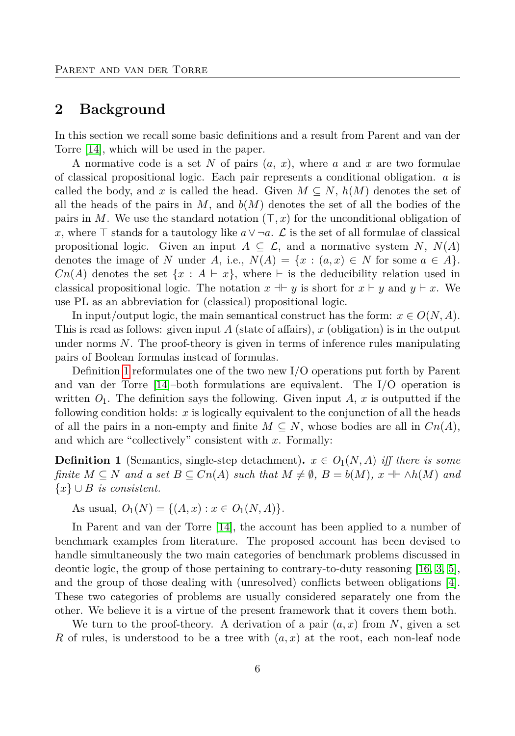# <span id="page-5-0"></span>**2 Background**

In this section we recall some basic definitions and a result from Parent and van der Torre [\[14\]](#page-14-0), which will be used in the paper.

A normative code is a set *N* of pairs (*a*, *x*), where *a* and *x* are two formulae of classical propositional logic. Each pair represents a conditional obligation. *a* is called the body, and x is called the head. Given  $M \subseteq N$ ,  $h(M)$  denotes the set of all the heads of the pairs in *M*, and *b*(*M*) denotes the set of all the bodies of the pairs in M. We use the standard notation  $(\top, x)$  for the unconditional obligation of *x*, where  $\top$  stands for a tautology like *a*∨¬*a*.  $\mathcal L$  is the set of all formulae of classical propositional logic. Given an input  $A \subseteq \mathcal{L}$ , and a normative system N,  $N(A)$ denotes the image of *N* under *A*, i.e.,  $N(A) = \{x : (a, x) \in N \text{ for some } a \in A\}.$  $Cn(A)$  denotes the set  $\{x : A \vdash x\}$ , where  $\vdash$  is the deducibility relation used in classical propositional logic. The notation  $x + y$  is short for  $x \vdash y$  and  $y \vdash x$ . We use PL as an abbreviation for (classical) propositional logic.

In input/output logic, the main semantical construct has the form:  $x \in O(N, A)$ . This is read as follows: given input *A* (state of affairs), *x* (obligation) is in the output under norms *N*. The proof-theory is given in terms of inference rules manipulating pairs of Boolean formulas instead of formulas.

Definition [1](#page-5-1) reformulates one of the two new I/O operations put forth by Parent and van der Torre [\[14\]](#page-14-0)–both formulations are equivalent. The I/O operation is written  $O_1$ . The definition says the following. Given input  $A$ ,  $x$  is outputted if the following condition holds: *x* is logically equivalent to the conjunction of all the heads of all the pairs in a non-empty and finite  $M \subseteq N$ , whose bodies are all in  $Cn(A)$ , and which are "collectively" consistent with *x*. Formally:

<span id="page-5-1"></span>**Definition 1** (Semantics, single-step detachment)**.**  $x \in O_1(N, A)$  *iff there is some finite*  $M \subseteq N$  *and a set*  $B \subseteq Cn(A)$  *such that*  $M \neq \emptyset$ ,  $B = b(M)$ ,  $x + \Lambda h(M)$  *and* {*x*} ∪ *B is consistent.*

As usual,  $O_1(N) = \{(A, x) : x \in O_1(N, A)\}.$ 

In Parent and van der Torre [\[14\]](#page-14-0), the account has been applied to a number of benchmark examples from literature. The proposed account has been devised to handle simultaneously the two main categories of benchmark problems discussed in deontic logic, the group of those pertaining to contrary-to-duty reasoning [\[16,](#page-14-8) [3,](#page-13-4) [5\]](#page-13-5), and the group of those dealing with (unresolved) conflicts between obligations [\[4\]](#page-13-6). These two categories of problems are usually considered separately one from the other. We believe it is a virtue of the present framework that it covers them both.

We turn to the proof-theory. A derivation of a pair  $(a, x)$  from N, given a set *R* of rules, is understood to be a tree with (*a, x*) at the root, each non-leaf node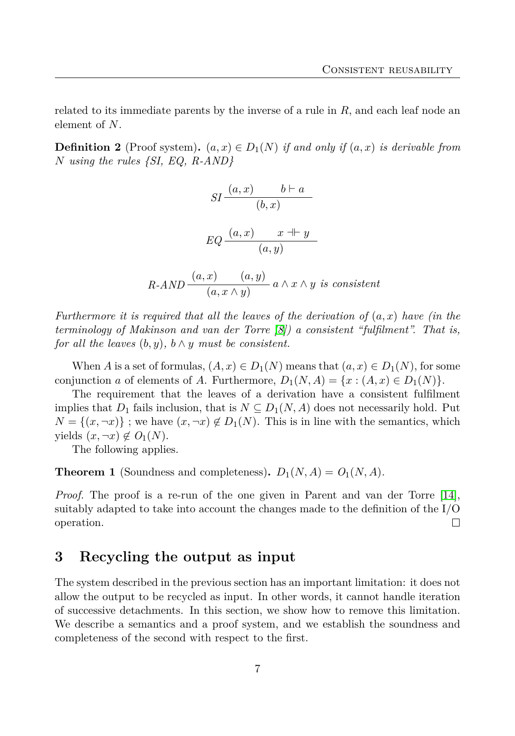related to its immediate parents by the inverse of a rule in *R*, and each leaf node an element of *N*.

**Definition 2** (Proof system).  $(a, x) \in D_1(N)$  *if and only if*  $(a, x)$  *is derivable from N using the rules {SI, EQ, R-AND}*

$$
SI \frac{(a, x) \qquad b \vdash a}{(b, x)}
$$

$$
EQ \frac{(a, x) \qquad x \dashv y}{(a, y)}
$$

$$
R\text{-}AND \xrightarrow{(a,x)} \xrightarrow{(a,y)} a \land x \land y \text{ is consistent}
$$

*Furthermore it is required that all the leaves of the derivation of* (*a, x*) *have (in the terminology of Makinson and van der Torre [\[8\]](#page-13-3)) a consistent "fulfilment". That is, for all the leaves*  $(b, y)$ *,*  $b \wedge y$  *must be consistent.* 

When *A* is a set of formulas,  $(A, x) \in D_1(N)$  means that  $(a, x) \in D_1(N)$ , for some conjunction *a* of elements of *A*. Furthermore,  $D_1(N, A) = \{x : (A, x) \in D_1(N)\}.$ 

The requirement that the leaves of a derivation have a consistent fulfilment implies that  $D_1$  fails inclusion, that is  $N \subseteq D_1(N, A)$  does not necessarily hold. Put  $N = \{(x, \neg x)\}\;$ ; we have  $(x, \neg x) \notin D_1(N)$ . This is in line with the semantics, which yields  $(x, \neg x) \notin O_1(N)$ .

The following applies.

<span id="page-6-1"></span>**Theorem 1** (Soundness and completeness).  $D_1(N, A) = O_1(N, A)$ .

*Proof.* The proof is a re-run of the one given in Parent and van der Torre [\[14\]](#page-14-0), suitably adapted to take into account the changes made to the definition of the I/O operation.  $\Box$ 

## <span id="page-6-0"></span>**3 Recycling the output as input**

The system described in the previous section has an important limitation: it does not allow the output to be recycled as input. In other words, it cannot handle iteration of successive detachments. In this section, we show how to remove this limitation. We describe a semantics and a proof system, and we establish the soundness and completeness of the second with respect to the first.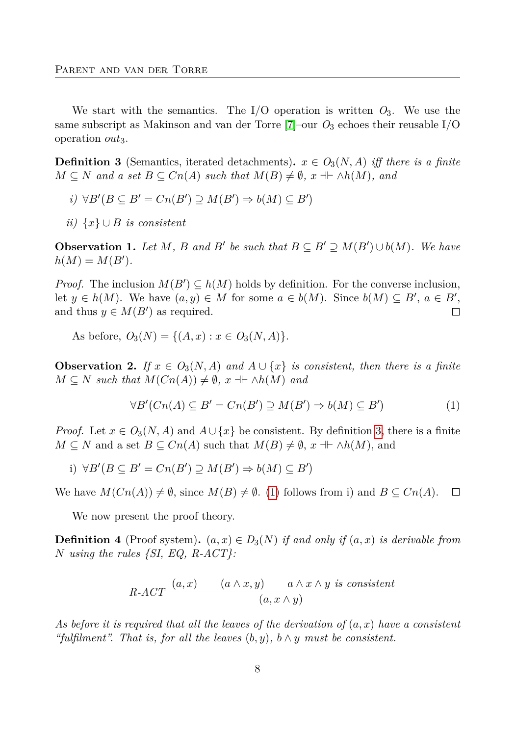We start with the semantics. The  $I/O$  operation is written  $O_3$ . We use the same subscript as Makinson and van der Torre  $[7]$ –our  $O_3$  echoes their reusable I/O operation *out*<sub>3</sub>.

<span id="page-7-0"></span>**Definition 3** (Semantics, iterated detachments)**.**  $x \in O_3(N, A)$  *iff there is a finite*  $M \subseteq N$  *and a set*  $B \subseteq Cn(A)$  *such that*  $M(B) \neq \emptyset$ *, x*  $\dashv \vdash \wedge h(M)$ *, and* 

- *i*)  $\forall B'(B \subseteq B' = Cn(B') \supseteq M(B') \Rightarrow b(M) \subseteq B')$
- *ii)* {*x*} ∪ *B is consistent*

<span id="page-7-3"></span>**Observation 1.** Let *M*, *B* and *B*<sup>*'*</sup> *be such that*  $B \subseteq B' \supseteq M(B') \cup b(M)$ *. We have*  $h(M) = M(B')$ .

*Proof.* The inclusion  $M(B') \subseteq h(M)$  holds by definition. For the converse inclusion, let  $y \in h(M)$ . We have  $(a, y) \in M$  for some  $a \in b(M)$ . Since  $b(M) \subseteq B'$ ,  $a \in B'$ , and thus  $y \in M(B')$  as required.  $\Box$ 

As before,  $O_3(N) = \{(A, x) : x \in O_3(N, A)\}.$ 

<span id="page-7-2"></span>**Observation 2.** If  $x \in O_3(N, A)$  and  $A \cup \{x\}$  is consistent, then there is a finite  $M \subseteq N$  *such that*  $M(Cn(A)) \neq \emptyset$ *,*  $x \dashv \land h(M)$  *and* 

<span id="page-7-1"></span>
$$
\forall B'(Cn(A) \subseteq B' = Cn(B') \supseteq M(B') \Rightarrow b(M) \subseteq B')
$$
\n(1)

*Proof.* Let  $x \in O_3(N, A)$  and  $A \cup \{x\}$  be consistent. By definition [3,](#page-7-0) there is a finite  $M \subseteq N$  and a set  $B \subseteq Cn(A)$  such that  $M(B) \neq \emptyset$ ,  $x \dashv \vdash \wedge h(M)$ , and

*i*)  $\forall B'(B \subseteq B' = Cn(B') \supseteq M(B') \Rightarrow b(M) \subseteq B')$ 

We have  $M(Cn(A)) \neq \emptyset$ , since  $M(B) \neq \emptyset$ . [\(1\)](#page-7-1) follows from i) and  $B \subseteq Cn(A)$ .  $\Box$ 

We now present the proof theory.

**Definition 4** (Proof system).  $(a, x) \in D_3(N)$  *if and only if*  $(a, x)$  *is derivable from N using the rules {SI, EQ, R-ACT}:*

$$
R\text{-}ACT \frac{(a,x)}{(a \land x,y)} \frac{(a \land x,y)}{(a,x \land y)} \text{ is consistent}
$$

*As before it is required that all the leaves of the derivation of* (*a, x*) *have a consistent "fulfilment". That is, for all the leaves* (*b, y*)*, b* ∧ *y must be consistent.*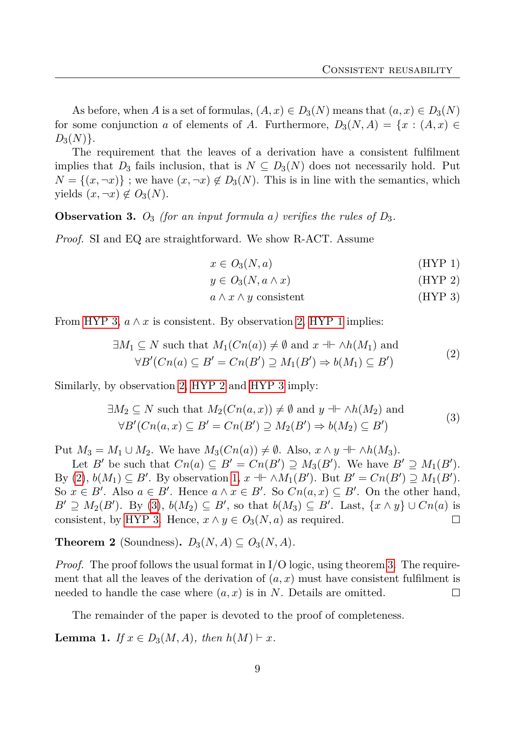As before, when *A* is a set of formulas,  $(A, x) \in D_3(N)$  means that  $(a, x) \in D_3(N)$ for some conjunction *a* of elements of *A*. Furthermore,  $D_3(N, A) = \{x : (A, x) \in$  $D_3(N)$ .

The requirement that the leaves of a derivation have a consistent fulfilment implies that  $D_3$  fails inclusion, that is  $N \subseteq D_3(N)$  does not necessarily hold. Put  $N = \{(x, \neg x)\}\;$ ; we have  $(x, \neg x) \notin D_3(N)$ . This is in line with the semantics, which yields  $(x, \neg x) \notin O_3(N)$ .

<span id="page-8-0"></span>**Observation 3.**  $O_3$  (for an input formula a) verifies the rules of  $D_3$ .

*Proof.* SI and EQ are straightforward. We show R-ACT. Assume

$$
x \in O_3(N, a) \tag{HYP 1}
$$

$$
y \in O_3(N, a \wedge x) \tag{HYP 2}
$$

<span id="page-8-2"></span><span id="page-8-1"></span>
$$
a \wedge x \wedge y \text{ consistent} \tag{HYP 3}
$$

From [HYP 3,](#page-8-0)  $a \wedge x$  is consistent. By observation [2,](#page-7-2) [HYP 1](#page-8-0) implies:

$$
\exists M_1 \subseteq N \text{ such that } M_1(Cn(a)) \neq \emptyset \text{ and } x \dashv \land h(M_1) \text{ and}
$$
  

$$
\forall B'(Cn(a) \subseteq B' = Cn(B') \supseteq M_1(B') \Rightarrow b(M_1) \subseteq B')
$$
 (2)

Similarly, by observation [2,](#page-7-2) [HYP 2](#page-8-0) and [HYP 3](#page-8-0) imply:

$$
\exists M_2 \subseteq N \text{ such that } M_2(Cn(a, x)) \neq \emptyset \text{ and } y \dashv \land h(M_2) \text{ and}
$$
  

$$
\forall B'(Cn(a, x) \subseteq B' = Cn(B') \supseteq M_2(B') \Rightarrow b(M_2) \subseteq B')
$$
 (3)

Put  $M_3 = M_1 \cup M_2$ . We have  $M_3(Cn(a)) \neq \emptyset$ . Also,  $x \wedge y + \wedge h(M_3)$ .

Let *B'* be such that  $Cn(a) \subseteq B' = Cn(B') \supseteq M_3(B')$ . We have  $B' \supseteq M_1(B')$ . By [\(2\)](#page-8-1),  $b(M_1) \subseteq B'$ . By observation [1,](#page-7-3)  $x \dashv \land M_1(B')$ . But  $B' = Cn(B') \supseteq M_1(B')$ . So  $x \in B'$ . Also  $a \in B'$ . Hence  $a \wedge x \in B'$ . So  $Cn(a, x) \subseteq B'$ . On the other hand,  $B' \supseteq M_2(B')$ . By [\(3\)](#page-8-2),  $b(M_2) \subseteq B'$ , so that  $b(M_3) \subseteq B'$ . Last,  $\{x \wedge y\} \cup Cn(a)$  is consistent, by [HYP 3.](#page-8-0) Hence,  $x \wedge y \in O_3(N, a)$  as required. □

**Theorem 2** (Soundness).  $D_3(N, A) \subseteq O_3(N, A)$ .

*Proof.* The proof follows the usual format in I/O logic, using theorem [3.](#page-8-0) The requirement that all the leaves of the derivation of  $(a, x)$  must have consistent fulfilment is needed to handle the case where (*a, x*) is in *N*. Details are omitted.  $\Box$ 

The remainder of the paper is devoted to the proof of completeness.

<span id="page-8-3"></span>**Lemma 1.** *If*  $x \in D_3(M, A)$ *, then*  $h(M) \vdash x$ *.*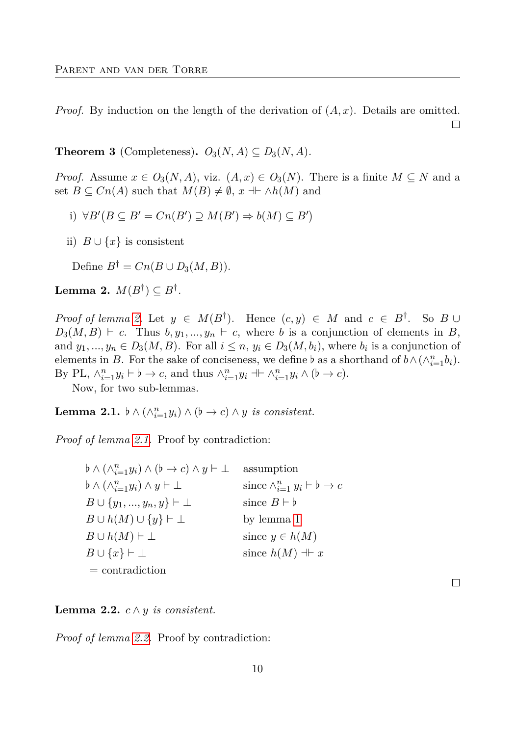*Proof.* By induction on the length of the derivation of (*A, x*). Details are omitted. □

<span id="page-9-3"></span>**Theorem 3** (Completeness).  $O_3(N, A) \subseteq D_3(N, A)$ .

*Proof.* Assume  $x \in O_3(N, A)$ , viz.  $(A, x) \in O_3(N)$ . There is a finite  $M \subseteq N$  and a set  $B \subseteq Cn(A)$  such that  $M(B) \neq \emptyset$ ,  $x \dashv \vdash \wedge h(M)$  and

- *i*)  $∀B'(B ⊆ B' = Cn(B') ⊇ M(B') ⇒ b(M) ⊆ B')$
- ii)  $B \cup \{x\}$  is consistent

Define  $B^{\dagger} = Cn(B \cup D_3(M, B)).$ 

<span id="page-9-0"></span> $\mathbf{Lemma \ } \mathbf{2.} \ \ M(B^{\dagger}) \subseteq B^{\dagger}.$ 

*Proof of lemma* [2.](#page-9-0) Let  $y \in M(B^{\dagger})$ . Hence  $(c, y) \in M$  and  $c \in B^{\dagger}$ . So  $B \cup$  $D_3(M, B) \vdash c$ . Thus  $b, y_1, ..., y_n \vdash c$ , where *b* is a conjunction of elements in *B*, and  $y_1, ..., y_n \in D_3(M, B)$ . For all  $i \leq n, y_i \in D_3(M, b_i)$ , where  $b_i$  is a conjunction of elements in *B*. For the sake of conciseness, we define *b* as a shorthand of  $b \wedge (\wedge_{i=1}^{n} b_i)$ . By PL,  $\wedge_{i=1}^{n} y_i \vdash b \to c$ , and thus  $\wedge_{i=1}^{n} y_i \dashv \vdash \wedge_{i=1}^{n} y_i \wedge (b \to c)$ .

Now, for two sub-lemmas.

<span id="page-9-1"></span>Lemma 2.1.  $\flat \wedge (\wedge_{i=1}^{n} y_i) \wedge (\flat \rightarrow c) \wedge y$  *is consistent.* 

*Proof of lemma [2.1.](#page-9-1)* Proof by contradiction:

*b* ∧ ( $\wedge_{i=1}^{n} y_i$ ) ∧ (*b* → *c*) ∧ *y*  $\vdash \bot$  assumption  $\flat \wedge (\wedge_{i=1}^{n} y_i) \wedge y \vdash \bot$  since ∧  $\sum_{i=1}^{n} y_i \vdash b \rightarrow c$  $B \cup \{y_1, ..., y_n, y\} \vdash \bot$  since  $B \vdash b$  $B \cup h(M) \cup \{y\} \vdash \bot$  by lemma [1](#page-8-3)  $B \cup h(M) \vdash \bot$  since  $y \in h(M)$  $B \cup \{x\} \vdash \bot$  since  $h(M) \dashv x$ = contradiction

#### <span id="page-9-2"></span>**Lemma 2.2.** *c* ∧ *y is consistent.*

*Proof of lemma [2.2.](#page-9-2)* Proof by contradiction:

 $\Box$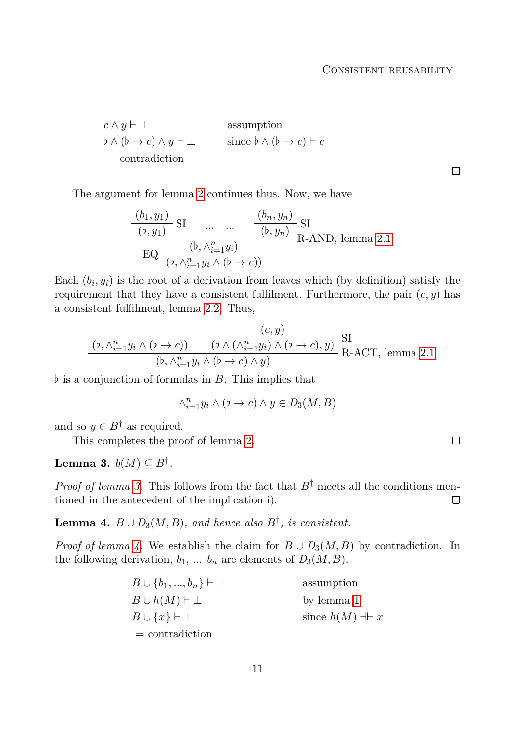$$
c \land y \vdash \bot
$$
 assumption  
\n $b \land (b \to c) \land y \vdash \bot$  since  $b \land (b \to c) \vdash c$   
\n= contradiction

The argument for lemma [2](#page-9-0) continues thus. Now, we have

$$
\frac{(b_1, y_1)}{(b, y_1)} \text{ SI} \qquad \dots \qquad \frac{(b_n, y_n)}{(b, y_n)} \text{ SI}
$$
\n
$$
\text{EQ} \frac{(b_1, \lambda_{i=1}^n y_i)}{(b_1, \lambda_{i=1}^n y_i \land (b \to c))} \text{R-AND, lemma 2.1}
$$

Each  $(b_i, y_i)$  is the root of a derivation from leaves which (by definition) satisfy the requirement that they have a consistent fulfilment. Furthermore, the pair  $(c, y)$  has a consistent fulfilment, lemma [2.2.](#page-9-2) Thus,

$$
\frac{(c, y)}{(b, \wedge_{i=1}^{n} y_i \wedge (b \to c))} \frac{(c, y)}{(b \wedge (\wedge_{i=1}^{n} y_i) \wedge (b \to c), y)} \text{SI}
$$
R-ACT, lemma 2.1  

$$
\frac{(b, \wedge_{i=1}^{n} y_i \wedge (b \to c) \wedge y)}{(b, \wedge_{i=1}^{n} y_i \wedge (b \to c) \wedge y)}
$$

 $\flat$  is a conjunction of formulas in *B*. This implies that

$$
\wedge_{i=1}^{n} y_i \wedge (b \to c) \wedge y \in D_3(M, B)
$$

and so  $y \in B^{\dagger}$  as required.

This completes the proof of lemma [2.](#page-9-0)

<span id="page-10-0"></span>Lemma 3.  $b(M) \subseteq B^{\dagger}$ .

*Proof of lemma [3.](#page-10-0)* This follows from the fact that  $B^{\dagger}$  meets all the conditions mentioned in the antecedent of the implication i).  $\Box$ 

<span id="page-10-1"></span>**Lemma 4.**  $B \cup D_3(M, B)$ , and hence also  $B^{\dagger}$ , is consistent.

*Proof of lemma [4.](#page-10-1)* We establish the claim for  $B \cup D_3(M, B)$  by contradiction. In the following derivation,  $b_1$ , ...  $b_n$  are elements of  $D_3(M, B)$ .

| $B\cup \{b_1,,b_n\}\vdash \bot$ | assumption            |
|---------------------------------|-----------------------|
| $B\cup h(M)\vdash\bot$          | by lemma 1            |
| $B\cup\{x\}\vdash\bot$          | since $h(M) \dashv x$ |
| $=$ contradiction               |                       |

 $\Box$ 

 $\Box$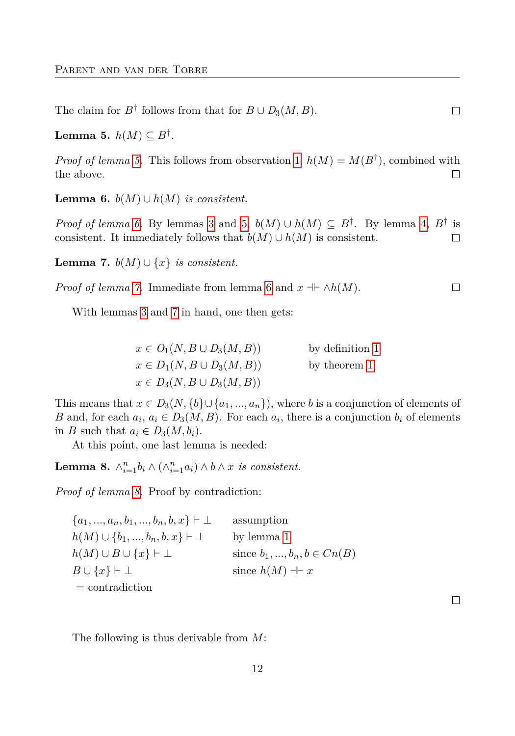The claim for  $B^{\dagger}$  follows from that for  $B \cup D_3(M, B)$ .

<span id="page-11-0"></span>Lemma 5.  $h(M) \subseteq B^{\dagger}$ .

*Proof of lemma [5.](#page-11-0)* This follows from observation [1,](#page-7-3)  $h(M) = M(B^{\dagger})$ , combined with the above.  $\Box$ 

<span id="page-11-1"></span>**Lemma 6.**  $b(M) \cup h(M)$  *is consistent.* 

*Proof of lemma [6.](#page-11-1)* By lemmas [3](#page-10-0) and [5,](#page-11-0)  $b(M) \cup h(M) \subseteq B^{\dagger}$ . By lemma [4,](#page-10-1)  $B^{\dagger}$  is consistent. It immediately follows that  $b(M) \cup h(M)$  is consistent. □

<span id="page-11-2"></span>**Lemma 7.**  $b(M) ∪ \{x\}$  *is consistent.* 

*Proof of lemma* [7.](#page-11-2) Immediate from lemma [6](#page-11-1) and  $x \perp \neg h(M)$ .  $\Box$ 

With lemmas [3](#page-10-0) and [7](#page-11-2) in hand, one then gets:

| $x\in O_1(N, B\cup D_3(M, B))$   | by definition 1 |
|----------------------------------|-----------------|
| $x\in D_1(N, B\cup D_3(M, B))$   | by theorem 1    |
| $x \in D_3(N, B \cup D_3(M, B))$ |                 |

This means that  $x \in D_3(N, \{b\} \cup \{a_1, ..., a_n\})$ , where *b* is a conjunction of elements of *B* and, for each  $a_i$ ,  $a_i \in D_3(M, B)$ . For each  $a_i$ , there is a conjunction  $b_i$  of elements in *B* such that  $a_i \in D_3(M, b_i)$ .

At this point, one last lemma is needed:

<span id="page-11-3"></span>**Lemma 8.**  $\wedge_{i=1}^{n} b_i \wedge (\wedge_{i=1}^{n} a_i) \wedge b \wedge x$  *is consistent.* 

*Proof of lemma [8.](#page-11-3)* Proof by contradiction:

 ${a_1, ..., a_n, b_1, ..., b_n, b, x}$   $\vdash \bot$  assumption *h*(*M*) ∪ {*b*<sub>1</sub>*, ..., b<sub>n</sub></sub>, <i>b*, *x*}  $\vdash \bot$  by lemma [1](#page-8-3) *h*(*M*) ∪ *B* ∪ {*x*}  $\vdash \bot$  since *b*<sub>1</sub>*, ..., b<sub>n</sub></sub>, <i>b* ∈ *Cn*(*B*)  $B \cup \{x\} \vdash \bot$  since  $h(M) \dashv x$ = contradiction

The following is thus derivable from *M*:

 $\Box$ 

 $\Box$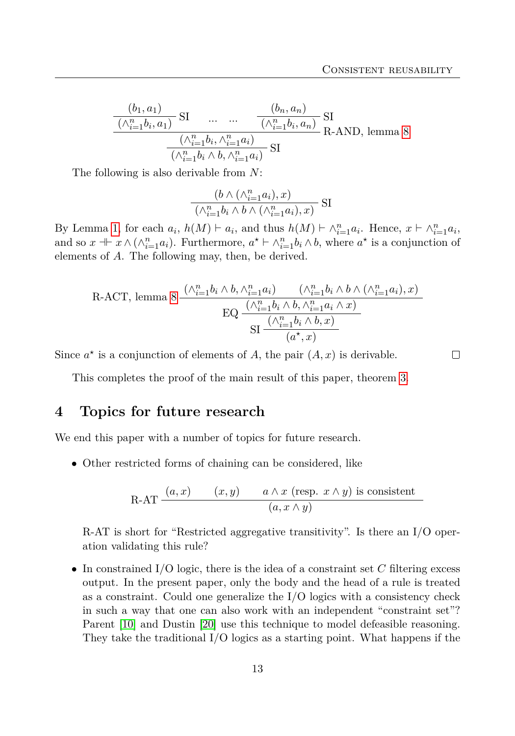$\Box$ 

$$
\frac{(b_1, a_1)}{(\wedge_{i=1}^n b_i, a_1)} \text{ SI} \dots \dots \frac{(b_n, a_n)}{(\wedge_{i=1}^n b_i, a_n)} \text{ SI}
$$

$$
\frac{(\wedge_{i=1}^n b_i, \wedge_{i=1}^n a_i)}{(\wedge_{i=1}^n b_i \wedge b, \wedge_{i=1}^n a_i)} \text{ SI}
$$
R-AND, lemma 8

The following is also derivable from *N*:

$$
\frac{(b\land(\land_{i=1}^na_i),x)}{(\land_{i=1}^nb_i\land b\land(\land_{i=1}^na_i),x)}\text{ SI}
$$

By Lemma [1,](#page-8-3) for each  $a_i$ ,  $h(M) \vdash a_i$ , and thus  $h(M) \vdash \wedge_{i=1}^n a_i$ . Hence,  $x \vdash \wedge_{i=1}^n a_i$ , and so  $x \dashv x \wedge (\wedge_{i=1}^{n} a_i)$ . Furthermore,  $a^* \vdash \wedge_{i=1}^{n} b_i \wedge b$ , where  $a^*$  is a conjunction of elements of *A*. The following may, then, be derived.

R-ACT, lemma 8 
$$
\frac{(\wedge_{i=1}^{n} b_i \wedge b, \wedge_{i=1}^{n} a_i) - (\wedge_{i=1}^{n} b_i \wedge b \wedge (\wedge_{i=1}^{n} a_i), x)}{\text{EQ } \frac{(\wedge_{i=1}^{n} b_i \wedge b, \wedge_{i=1}^{n} a_i \wedge x)}{\text{SI } \frac{(\wedge_{i=1}^{n} b_i \wedge b, x)}{(a^{\star}, x)}}
$$

Since  $a^*$  is a conjunction of elements of *A*, the pair  $(A, x)$  is derivable.

This completes the proof of the main result of this paper, theorem [3.](#page-9-3)

## **4 Topics for future research**

We end this paper with a number of topics for future research.

• Other restricted forms of chaining can be considered, like

R-AT 
$$
\frac{(a,x)}{(x,y)}
$$
  $\frac{a \wedge x \text{ (resp. } x \wedge y) \text{ is consistent}}{(a, x \wedge y)}$ 

R-AT is short for "Restricted aggregative transitivity". Is there an I/O operation validating this rule?

• In constrained I/O logic, there is the idea of a constraint set *C* filtering excess output. In the present paper, only the body and the head of a rule is treated as a constraint. Could one generalize the  $I/O$  logics with a consistency check in such a way that one can also work with an independent "constraint set"? Parent [\[10\]](#page-14-9) and Dustin [\[20\]](#page-14-10) use this technique to model defeasible reasoning. They take the traditional I/O logics as a starting point. What happens if the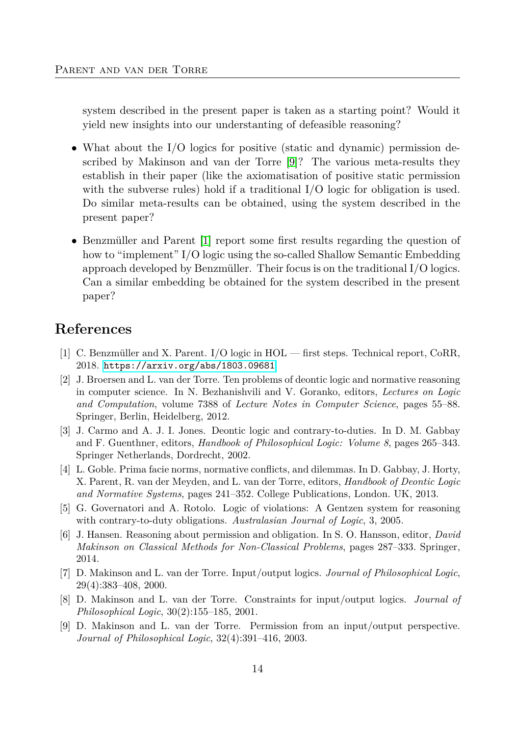system described in the present paper is taken as a starting point? Would it yield new insights into our understanting of defeasible reasoning?

- What about the I/O logics for positive (static and dynamic) permission described by Makinson and van der Torre [\[9\]](#page-13-7)? The various meta-results they establish in their paper (like the axiomatisation of positive static permission with the subverse rules) hold if a traditional I/O logic for obligation is used. Do similar meta-results can be obtained, using the system described in the present paper?
- Benzmüller and Parent [\[1\]](#page-13-8) report some first results regarding the question of how to "implement" I/O logic using the so-called Shallow Semantic Embedding approach developed by Benzmüller. Their focus is on the traditional I/O logics. Can a similar embedding be obtained for the system described in the present paper?

# **References**

- <span id="page-13-8"></span>[1] C. Benzmüller and X. Parent. I/O logic in HOL — first steps. Technical report, CoRR, 2018. <https://arxiv.org/abs/1803.09681>.
- <span id="page-13-2"></span>[2] J. Broersen and L. van der Torre. Ten problems of deontic logic and normative reasoning in computer science. In N. Bezhanishvili and V. Goranko, editors, *Lectures on Logic and Computation*, volume 7388 of *Lecture Notes in Computer Science*, pages 55–88. Springer, Berlin, Heidelberg, 2012.
- <span id="page-13-4"></span>[3] J. Carmo and A. J. I. Jones. Deontic logic and contrary-to-duties. In D. M. Gabbay and F. Guenthner, editors, *Handbook of Philosophical Logic: Volume 8*, pages 265–343. Springer Netherlands, Dordrecht, 2002.
- <span id="page-13-6"></span>[4] L. Goble. Prima facie norms, normative conflicts, and dilemmas. In D. Gabbay, J. Horty, X. Parent, R. van der Meyden, and L. van der Torre, editors, *Handbook of Deontic Logic and Normative Systems*, pages 241–352. College Publications, London. UK, 2013.
- <span id="page-13-5"></span>[5] G. Governatori and A. Rotolo. Logic of violations: A Gentzen system for reasoning with contrary-to-duty obligations. *Australasian Journal of Logic*, 3, 2005.
- <span id="page-13-1"></span>[6] J. Hansen. Reasoning about permission and obligation. In S. O. Hansson, editor, *David Makinson on Classical Methods for Non-Classical Problems*, pages 287–333. Springer, 2014.
- <span id="page-13-0"></span>[7] D. Makinson and L. van der Torre. Input/output logics. *Journal of Philosophical Logic*, 29(4):383–408, 2000.
- <span id="page-13-3"></span>[8] D. Makinson and L. van der Torre. Constraints for input/output logics. *Journal of Philosophical Logic*, 30(2):155–185, 2001.
- <span id="page-13-7"></span>[9] D. Makinson and L. van der Torre. Permission from an input/output perspective. *Journal of Philosophical Logic*, 32(4):391–416, 2003.